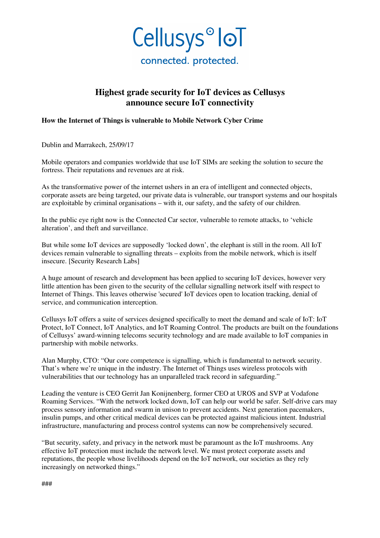

## **Highest grade security for IoT devices as Cellusys announce secure IoT connectivity**

## **How the Internet of Things is vulnerable to Mobile Network Cyber Crime**

Dublin and Marrakech, 25/09/17

Mobile operators and companies worldwide that use IoT SIMs are seeking the solution to secure the fortress. Their reputations and revenues are at risk.

As the transformative power of the internet ushers in an era of intelligent and connected objects, corporate assets are being targeted, our private data is vulnerable, our transport systems and our hospitals are exploitable by criminal organisations – with it, our safety, and the safety of our children.

In the public eye right now is the Connected Car sector, vulnerable to remote attacks, to 'vehicle alteration', and theft and surveillance.

But while some IoT devices are supposedly 'locked down', the elephant is still in the room. All IoT devices remain vulnerable to signalling threats – exploits from the mobile network, which is itself insecure. [Security Research Labs]

A huge amount of research and development has been applied to securing IoT devices, however very little attention has been given to the security of the cellular signalling network itself with respect to Internet of Things. This leaves otherwise 'secured' IoT devices open to location tracking, denial of service, and communication interception.

Cellusys IoT offers a suite of services designed specifically to meet the demand and scale of IoT: IoT Protect, IoT Connect, IoT Analytics, and IoT Roaming Control. The products are built on the foundations of Cellusys' award-winning telecoms security technology and are made available to IoT companies in partnership with mobile networks.

Alan Murphy, CTO: "Our core competence is signalling, which is fundamental to network security. That's where we're unique in the industry. The Internet of Things uses wireless protocols with vulnerabilities that our technology has an unparalleled track record in safeguarding."

Leading the venture is CEO Gerrit Jan Konijnenberg, former CEO at UROS and SVP at Vodafone Roaming Services. "With the network locked down, IoT can help our world be safer. Self-drive cars may process sensory information and swarm in unison to prevent accidents. Next generation pacemakers, insulin pumps, and other critical medical devices can be protected against malicious intent. Industrial infrastructure, manufacturing and process control systems can now be comprehensively secured.

"But security, safety, and privacy in the network must be paramount as the IoT mushrooms. Any effective IoT protection must include the network level. We must protect corporate assets and reputations, the people whose livelihoods depend on the IoT network, our societies as they rely increasingly on networked things."